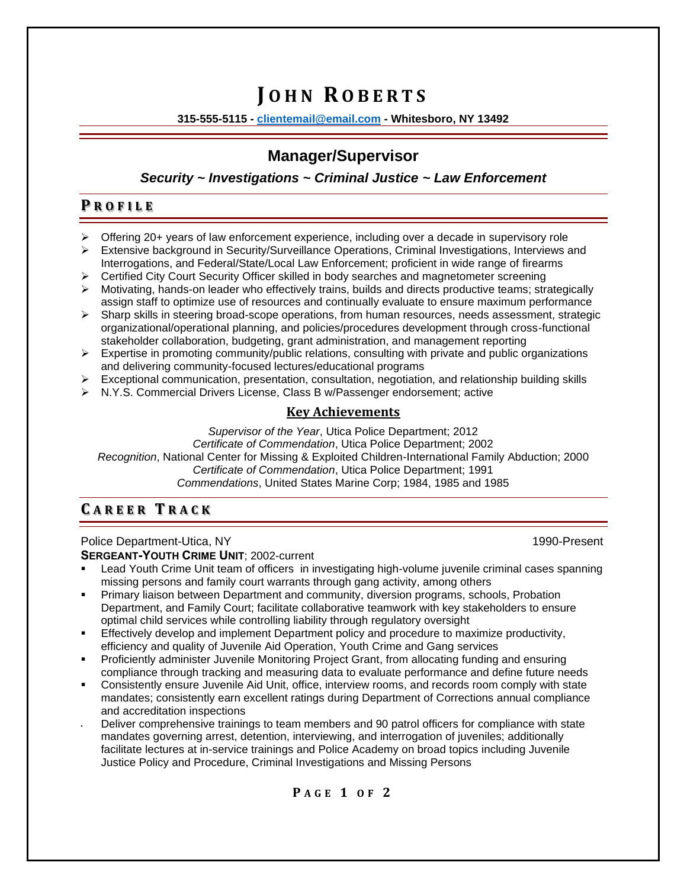# **J O H N R O B E R T S**

**315-555-5115 - [clientemail@email.com](mailto:clientemail@email.com) - Whitesboro, NY 13492**

# **Manager/Supervisor**

## *Security ~ Investigations ~ Criminal Justice ~ Law Enforcement*

## **P R O F I L E**

- $\triangleright$  Offering 20+ years of law enforcement experience, including over a decade in supervisory role
- ➢ Extensive background in Security/Surveillance Operations, Criminal Investigations, Interviews and Interrogations, and Federal/State/Local Law Enforcement; proficient in wide range of firearms
- ➢ Certified City Court Security Officer skilled in body searches and magnetometer screening
- ➢ Motivating, hands-on leader who effectively trains, builds and directs productive teams; strategically assign staff to optimize use of resources and continually evaluate to ensure maximum performance
- ➢ Sharp skills in steering broad-scope operations, from human resources, needs assessment, strategic organizational/operational planning, and policies/procedures development through cross-functional stakeholder collaboration, budgeting, grant administration, and management reporting
- $\triangleright$  Expertise in promoting community/public relations, consulting with private and public organizations and delivering community-focused lectures/educational programs
- $\triangleright$  Exceptional communication, presentation, consultation, negotiation, and relationship building skills
- ➢ N.Y.S. Commercial Drivers License, Class B w/Passenger endorsement; active

## **Key Achievements**

*Supervisor of the Year*, Utica Police Department; 2012 *Certificate of Commendation*, Utica Police Department; 2002 *Recognition*, National Center for Missing & Exploited Children-International Family Abduction; 2000 *Certificate of Commendation*, Utica Police Department; 1991 *Commendations*, United States Marine Corp; 1984, 1985 and 1985

# **C A R E E R T R A C K**

#### Police Department-Utica, NY 1990-Present **SERGEANT-YOUTH CRIME UNIT**; 2002-current

- Lead Youth Crime Unit team of officers in investigating high-volume juvenile criminal cases spanning missing persons and family court warrants through gang activity, among others
- Primary liaison between Department and community, diversion programs, schools, Probation Department, and Family Court; facilitate collaborative teamwork with key stakeholders to ensure optimal child services while controlling liability through regulatory oversight
- Effectively develop and implement Department policy and procedure to maximize productivity, efficiency and quality of Juvenile Aid Operation, Youth Crime and Gang services
- Proficiently administer Juvenile Monitoring Project Grant, from allocating funding and ensuring compliance through tracking and measuring data to evaluate performance and define future needs
- Consistently ensure Juvenile Aid Unit, office, interview rooms, and records room comply with state mandates; consistently earn excellent ratings during Department of Corrections annual compliance and accreditation inspections
- Deliver comprehensive trainings to team members and 90 patrol officers for compliance with state mandates governing arrest, detention, interviewing, and interrogation of juveniles; additionally facilitate lectures at in-service trainings and Police Academy on broad topics including Juvenile Justice Policy and Procedure, Criminal Investigations and Missing Persons

## **P A G E 1 O F 2**